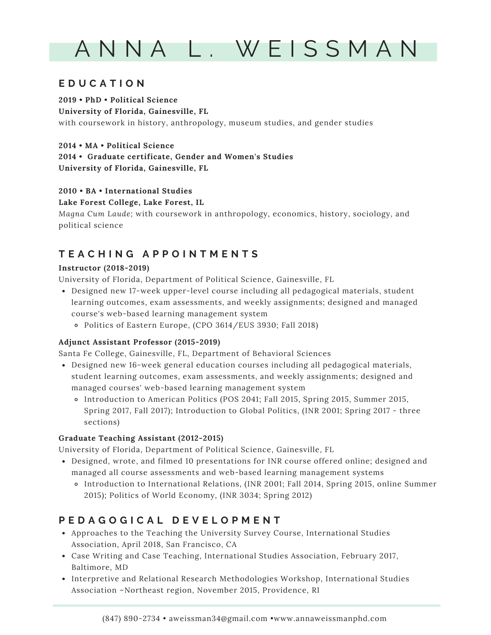# A N N A L . W E I S S M A N

# **E D U C A T I O N**

**2019 • PhD • Political Science University of Florida, Gainesville, FL** with coursework in history, anthropology, museum studies, and gender studies

**2014 • MA • Political Science 2014 • Graduate certificate, Gender and Women's Studies University of Florida, Gainesville, FL**

# **2010 • BA • International Studies**

**Lake Forest College, Lake Forest, IL**

*Magna Cum Laude;* with coursework in anthropology, economics, history, sociology, and political science

# **T E A C H I N G A P P O I N T M E N T S**

### **Instructor (2018-2019)**

University of Florida, Department of Political Science, Gainesville, FL

- Designed new 17-week upper-level course including all pedagogical materials, student learning outcomes, exam assessments, and weekly assignments; designed and managed course's web-based learning management system
	- Politics of Eastern Europe, (CPO 3614/EUS 3930; Fall 2018)

### **Adjunct Assistant Professor (2015-2019)**

Santa Fe College, Gainesville, FL, Department of Behavioral Sciences

- Designed new 16-week general education courses including all pedagogical materials, student learning outcomes, exam assessments, and weekly assignments; designed and managed courses' web-based learning management system
	- Introduction to American Politics (POS 2041; Fall 2015, Spring 2015, Summer 2015, Spring 2017, Fall 2017); Introduction to Global Politics, (INR 2001; Spring 2017 - three sections)

### **Graduate Teaching Assistant (2012-2015)**

University of Florida, Department of Political Science, Gainesville, FL

- Designed, wrote, and filmed 10 presentations for INR course offered online; designed and managed all course assessments and web-based learning management systems
	- Introduction to International Relations, (INR 2001; Fall 2014, Spring 2015, online Summer 2015); Politics of World Economy, (INR 3034; Spring 2012)

# **P E D A G O G I C A L D E V E L O P M E N T**

- Approaches to the Teaching the University Survey Course, International Studies Association, April 2018, San Francisco, CA
- Case Writing and Case Teaching, International Studies Association, February 2017, Baltimore, MD
- Interpretive and Relational Research Methodologies Workshop, International Studies Association –Northeast region, November 2015, Providence, RI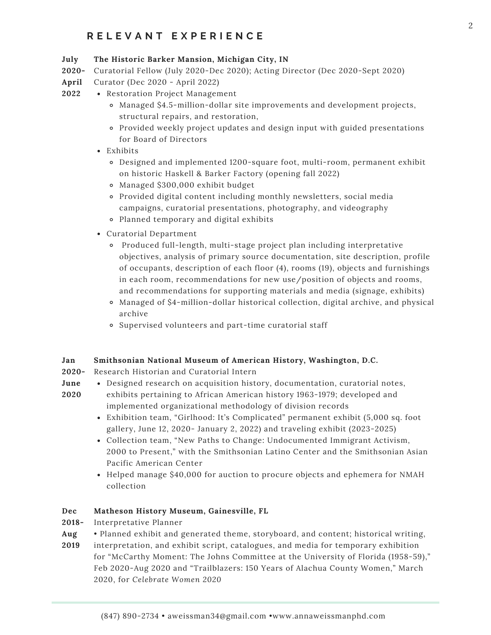# **R E L E V A N T E X P E R I E N C E**

#### **July The Historic Barker Mansion, Michigan City, IN**

**2020-** Curatorial Fellow (July 2020-Dec 2020); Acting Director (Dec 2020-Sept 2020)

- **April** Curator (Dec 2020 - April 2022)
- **2022** Restoration Project Management
	- Managed \$4.5-million-dollar site improvements and development projects, structural repairs, and restoration,
	- Provided weekly project updates and design input with guided presentations for Board of Directors
	- Exhibits
		- Designed and implemented 1200-square foot, multi-room, permanent exhibit on historic Haskell & Barker Factory (opening fall 2022)
		- Managed \$300,000 exhibit budget
		- Provided digital content including monthly newsletters, social media campaigns, curatorial presentations, photography, and videography
		- Planned temporary and digital exhibits
	- Curatorial Department
		- Produced full-length, multi-stage project plan including interpretative objectives, analysis of primary source documentation, site description, profile of occupants, description of each floor (4), rooms (19), objects and furnishings in each room, recommendations for new use/position of objects and rooms, and recommendations for supporting materials and media (signage, exhibits)
		- Managed of \$4-million-dollar historical collection, digital archive, and physical archive
		- Supervised volunteers and part-time curatorial staff

#### **Jan Smithsonian National Museum of American History, Washington, D.C.**

- **2020-** Research Historian and Curatorial Intern
- **June** Designed research on acquisition history, documentation, curatorial notes,
- **2020** exhibits pertaining to African American history 1963-1979; developed and implemented organizational methodology of division records
	- Exhibition team, "Girlhood: It's [Complicated"](https://americanhistory.si.edu/exhibitions/girlhood-its-complicated) permanent exhibit (5,000 sq. foot gallery, June 12, 2020- January 2, 2022) and traveling exhibit (2023-2025)
	- Collection team, "New Paths to Change: [Undocumented](https://www.smithsonianmag.com/smithsonian-institution/how-smithsonian-documenting-undocumented-political-organizing-movements-180974220/) Immigrant Activism, 2000 to Present," with the Smithsonian Latino Center and the Smithsonian Asian Pacific American Center
	- Helped manage \$40,000 for auction to procure objects and ephemera for NMAH collection

#### **Dec Matheson History Museum, Gainesville, FL**

- **2018-** Interpretative Planner
- **Aug** • Planned exhibit and generated theme, storyboard, and content; historical writing,
- **2019** interpretation, and exhibit script, catalogues, and media for temporary exhibition for "McCarthy Moment: The Johns Committee at the University of Florida (1958-59)," Feb 2020-Aug 2020 and "Trailblazers: 150 Years of Alachua County Women," March 2020, for *Celebrate Women 2020*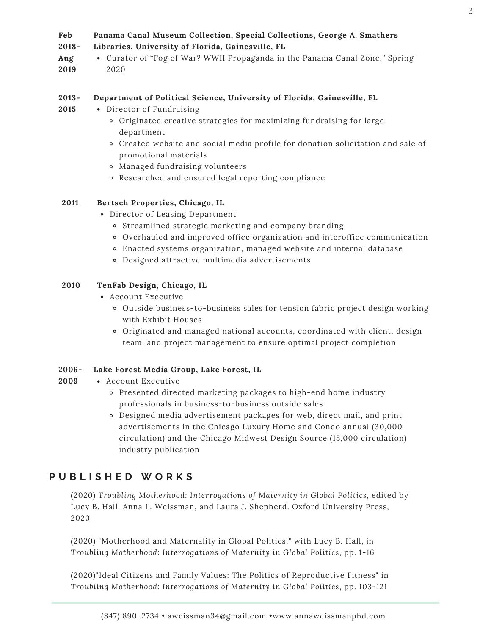#### **Feb Panama Canal Museum Collection, Special Collections, George A. Smathers**

- **2018- Libraries, University of Florida, Gainesville, FL**
- **Aug 2019** Curator of "Fog of War? WWII Propaganda in the Panama Canal Zone," Spring 2020

#### **2013- Department of Political Science, University of Florida, Gainesville, FL**

- **2015** Director of Fundraising
	- Originated creative strategies for maximizing fundraising for large department
	- Created website and social media profile for donation solicitation and sale of promotional materials
	- Managed fundraising volunteers
	- Researched and ensured legal reporting compliance

### **2011 Bertsch Properties, Chicago, IL**

- Director of Leasing Department
	- Streamlined strategic marketing and company branding
	- Overhauled and improved office organization and interoffice communication
	- Enacted systems organization, managed website and internal database
	- Designed attractive multimedia advertisements

### **2010 TenFab Design, Chicago, IL**

- Account Executive
	- Outside business-to-business sales for tension fabric project design working with Exhibit Houses
	- Originated and managed national accounts, coordinated with client, design team, and project management to ensure optimal project completion

### **2006- Lake Forest Media Group, Lake Forest, IL**

- **2009** Account Executive
	- Presented directed marketing packages to high-end home industry professionals in business-to-business outside sales
	- Designed media advertisement packages for web, direct mail, and print advertisements in the Chicago Luxury Home and Condo annual (30,000 circulation) and the Chicago Midwest Design Source (15,000 circulation) industry publication

# **P U B L I S H E D W O R K S**

(2020) *Troubling Motherhood: Interrogations of Maternity in Global Politics,* edited by Lucy B. Hall, Anna L. Weissman, and Laura J. Shepherd. Oxford University Press, 2020

(2020) "Motherhood and Maternality in Global Politics," with Lucy B. Hall, in *Troubling Motherhood: Interrogations of Maternity in Global Politics*, pp. 1-16

(2020)"Ideal Citizens and Family Values: The Politics of Reproductive Fitness" in *Troubling Motherhood: Interrogations of Maternity in Global Politics*, pp. 103-121